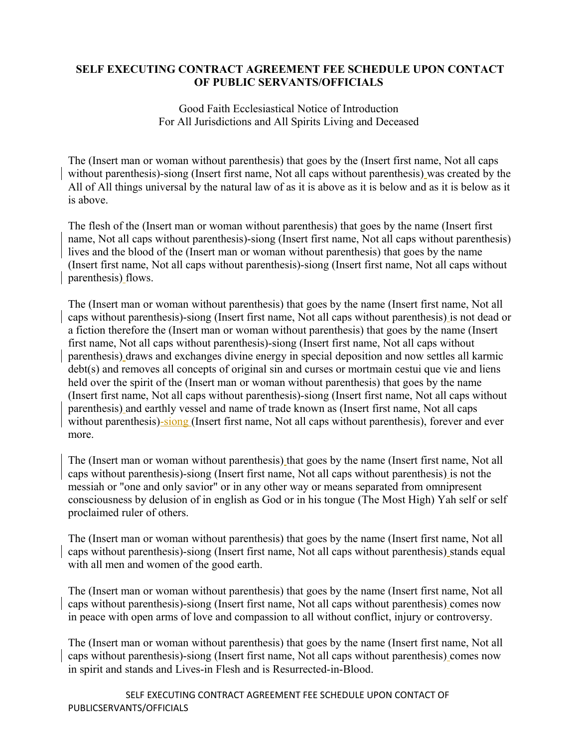### **SELF EXECUTING CONTRACT AGREEMENT FEE SCHEDULE UPON CONTACT OF PUBLIC SERVANTS/OFFICIALS**

Good Faith Ecclesiastical Notice of Introduction For All Jurisdictions and All Spirits Living and Deceased

The (Insert man or woman without parenthesis) that goes by the (Insert first name, Not all caps without parenthesis)-siong (Insert first name, Not all caps without parenthesis) was created by the All of All things universal by the natural law of as it is above as it is below and as it is below as it is above.

The flesh of the (Insert man or woman without parenthesis) that goes by the name (Insert first name, Not all caps without parenthesis)-siong (Insert first name, Not all caps without parenthesis) lives and the blood of the (Insert man or woman without parenthesis) that goes by the name (Insert first name, Not all caps without parenthesis)-siong (Insert first name, Not all caps without parenthesis) flows.

The (Insert man or woman without parenthesis) that goes by the name (Insert first name, Not all caps without parenthesis)-siong (Insert first name, Not all caps without parenthesis) is not dead or a fiction therefore the (Insert man or woman without parenthesis) that goes by the name (Insert first name, Not all caps without parenthesis)-siong (Insert first name, Not all caps without parenthesis) draws and exchanges divine energy in special deposition and now settles all karmic debt(s) and removes all concepts of original sin and curses or mortmain cestui que vie and liens held over the spirit of the (Insert man or woman without parenthesis) that goes by the name (Insert first name, Not all caps without parenthesis)-siong (Insert first name, Not all caps without parenthesis) and earthly vessel and name of trade known as (Insert first name, Not all caps without parenthesis)-siong (Insert first name, Not all caps without parenthesis), forever and ever more.

The (Insert man or woman without parenthesis) that goes by the name (Insert first name, Not all caps without parenthesis)-siong (Insert first name, Not all caps without parenthesis) is not the messiah or "one and only savior" or in any other way or means separated from omnipresent consciousness by delusion of in english as God or in his tongue (The Most High) Yah self or self proclaimed ruler of others.

The (Insert man or woman without parenthesis) that goes by the name (Insert first name, Not all caps without parenthesis)-siong (Insert first name, Not all caps without parenthesis) stands equal with all men and women of the good earth.

The (Insert man or woman without parenthesis) that goes by the name (Insert first name, Not all caps without parenthesis)-siong (Insert first name, Not all caps without parenthesis) comes now in peace with open arms of love and compassion to all without conflict, injury or controversy.

The (Insert man or woman without parenthesis) that goes by the name (Insert first name, Not all caps without parenthesis)-siong (Insert first name, Not all caps without parenthesis) comes now in spirit and stands and Lives-in Flesh and is Resurrected-in-Blood.

SELF EXECUTING CONTRACT AGREEMENT FEE SCHEDULE UPON CONTACT OF PUBLICSERVANTS/OFFICIALS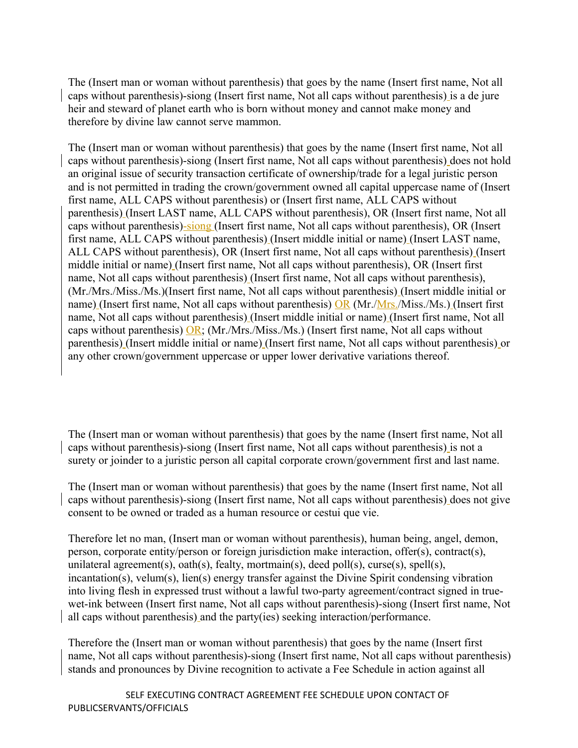The (Insert man or woman without parenthesis) that goes by the name (Insert first name, Not all caps without parenthesis)-siong (Insert first name, Not all caps without parenthesis) is a de jure heir and steward of planet earth who is born without money and cannot make money and therefore by divine law cannot serve mammon.

The (Insert man or woman without parenthesis) that goes by the name (Insert first name, Not all caps without parenthesis)-siong (Insert first name, Not all caps without parenthesis) does not hold an original issue of security transaction certificate of ownership/trade for a legal juristic person and is not permitted in trading the crown/government owned all capital uppercase name of (Insert first name, ALL CAPS without parenthesis) or (Insert first name, ALL CAPS without parenthesis) (Insert LAST name, ALL CAPS without parenthesis), OR (Insert first name, Not all caps without parenthesis)-siong (Insert first name, Not all caps without parenthesis), OR (Insert first name, ALL CAPS without parenthesis) (Insert middle initial or name) (Insert LAST name, ALL CAPS without parenthesis), OR (Insert first name, Not all caps without parenthesis) (Insert middle initial or name) (Insert first name, Not all caps without parenthesis), OR (Insert first name, Not all caps without parenthesis) (Insert first name, Not all caps without parenthesis), (Mr./Mrs./Miss./Ms.)(Insert first name, Not all caps without parenthesis) (Insert middle initial or name) (Insert first name, Not all caps without parenthesis) OR (Mr./Mrs./Miss./Ms.) (Insert first name, Not all caps without parenthesis) (Insert middle initial or name) (Insert first name, Not all caps without parenthesis)  $OR$ ; (Mr./Mrs./Miss./Ms.) (Insert first name, Not all caps without parenthesis) (Insert middle initial or name) (Insert first name, Not all caps without parenthesis) or any other crown/government uppercase or upper lower derivative variations thereof.

The (Insert man or woman without parenthesis) that goes by the name (Insert first name, Not all caps without parenthesis)-siong (Insert first name, Not all caps without parenthesis) is not a surety or joinder to a juristic person all capital corporate crown/government first and last name.

The (Insert man or woman without parenthesis) that goes by the name (Insert first name, Not all caps without parenthesis)-siong (Insert first name, Not all caps without parenthesis) does not give consent to be owned or traded as a human resource or cestui que vie.

Therefore let no man, (Insert man or woman without parenthesis), human being, angel, demon, person, corporate entity/person or foreign jurisdiction make interaction, offer(s), contract(s), unilateral agreement(s), oath(s), fealty, mortmain(s), deed poll(s), curse(s), spell(s), incantation(s), velum(s), lien(s) energy transfer against the Divine Spirit condensing vibration into living flesh in expressed trust without a lawful two-party agreement/contract signed in truewet-ink between (Insert first name, Not all caps without parenthesis)-siong (Insert first name, Not all caps without parenthesis) and the party(ies) seeking interaction/performance.

Therefore the (Insert man or woman without parenthesis) that goes by the name (Insert first name, Not all caps without parenthesis)-siong (Insert first name, Not all caps without parenthesis) stands and pronounces by Divine recognition to activate a Fee Schedule in action against all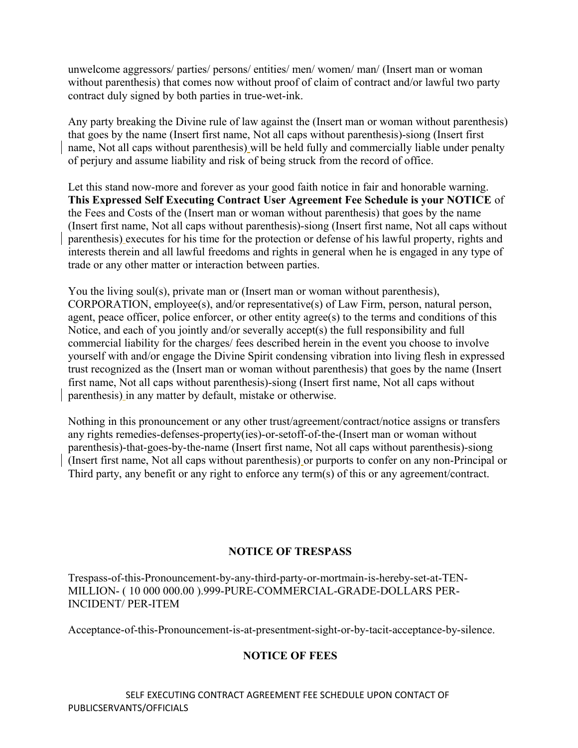unwelcome aggressors/ parties/ persons/ entities/ men/ women/ man/ (Insert man or woman without parenthesis) that comes now without proof of claim of contract and/or lawful two party contract duly signed by both parties in true-wet-ink.

Any party breaking the Divine rule of law against the (Insert man or woman without parenthesis) that goes by the name (Insert first name, Not all caps without parenthesis)-siong (Insert first name, Not all caps without parenthesis) will be held fully and commercially liable under penalty of perjury and assume liability and risk of being struck from the record of office.

Let this stand now-more and forever as your good faith notice in fair and honorable warning. **This Expressed Self Executing Contract User Agreement Fee Schedule is your NOTICE** of the Fees and Costs of the (Insert man or woman without parenthesis) that goes by the name (Insert first name, Not all caps without parenthesis)-siong (Insert first name, Not all caps without parenthesis) executes for his time for the protection or defense of his lawful property, rights and interests therein and all lawful freedoms and rights in general when he is engaged in any type of trade or any other matter or interaction between parties.

You the living soul(s), private man or (Insert man or woman without parenthesis), CORPORATION, employee(s), and/or representative(s) of Law Firm, person, natural person, agent, peace officer, police enforcer, or other entity agree(s) to the terms and conditions of this Notice, and each of you jointly and/or severally accept(s) the full responsibility and full commercial liability for the charges/ fees described herein in the event you choose to involve yourself with and/or engage the Divine Spirit condensing vibration into living flesh in expressed trust recognized as the (Insert man or woman without parenthesis) that goes by the name (Insert first name, Not all caps without parenthesis)-siong (Insert first name, Not all caps without parenthesis) in any matter by default, mistake or otherwise.

Nothing in this pronouncement or any other trust/agreement/contract/notice assigns or transfers any rights remedies-defenses-property(ies)-or-setoff-of-the-(Insert man or woman without parenthesis)-that-goes-by-the-name (Insert first name, Not all caps without parenthesis)-siong (Insert first name, Not all caps without parenthesis) or purports to confer on any non-Principal or Third party, any benefit or any right to enforce any term(s) of this or any agreement/contract.

### **NOTICE OF TRESPASS**

Trespass-of-this-Pronouncement-by-any-third-party-or-mortmain-is-hereby-set-at-TEN-MILLION- ( 10 000 000.00 ).999-PURE-COMMERCIAL-GRADE-DOLLARS PER-INCIDENT/ PER-ITEM

Acceptance-of-this-Pronouncement-is-at-presentment-sight-or-by-tacit-acceptance-by-silence.

### **NOTICE OF FEES**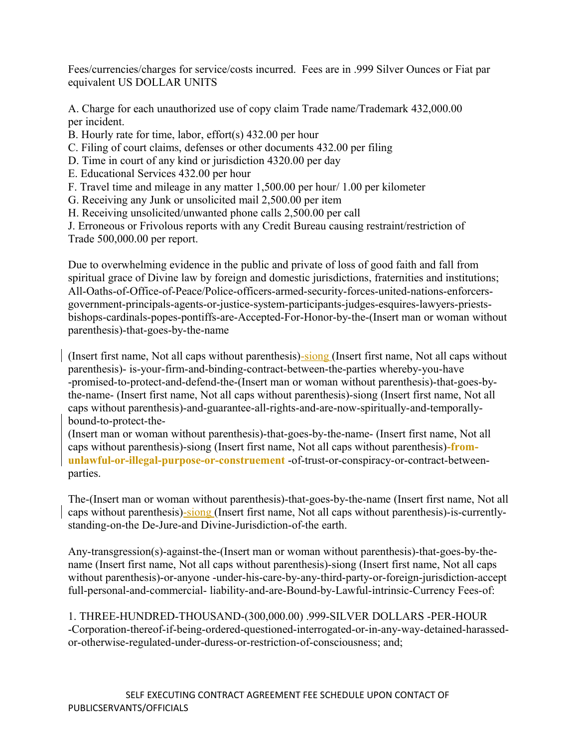Fees/currencies/charges for service/costs incurred. Fees are in .999 Silver Ounces or Fiat par equivalent US DOLLAR UNITS

A. Charge for each unauthorized use of copy claim Trade name/Trademark 432,000.00 per incident.

B. Hourly rate for time, labor, effort(s) 432.00 per hour

C. Filing of court claims, defenses or other documents 432.00 per filing

D. Time in court of any kind or jurisdiction 4320.00 per day

E. Educational Services 432.00 per hour

F. Travel time and mileage in any matter 1,500.00 per hour/ 1.00 per kilometer

G. Receiving any Junk or unsolicited mail 2,500.00 per item

H. Receiving unsolicited/unwanted phone calls 2,500.00 per call

J. Erroneous or Frivolous reports with any Credit Bureau causing restraint/restriction of Trade 500,000.00 per report.

Due to overwhelming evidence in the public and private of loss of good faith and fall from spiritual grace of Divine law by foreign and domestic jurisdictions, fraternities and institutions; All-Oaths-of-Office-of-Peace/Police-officers-armed-security-forces-united-nations-enforcersgovernment-principals-agents-or-justice-system-participants-judges-esquires-lawyers-priestsbishops-cardinals-popes-pontiffs-are-Accepted-For-Honor-by-the-(Insert man or woman without parenthesis)-that-goes-by-the-name

(Insert first name, Not all caps without parenthesis)-siong (Insert first name, Not all caps without parenthesis)- is-your-firm-and-binding-contract-between-the-parties whereby-you-have -promised-to-protect-and-defend-the-(Insert man or woman without parenthesis)-that-goes-bythe-name- (Insert first name, Not all caps without parenthesis)-siong (Insert first name, Not all caps without parenthesis)-and-guarantee-all-rights-and-are-now-spiritually-and-temporallybound-to-protect-the-

(Insert man or woman without parenthesis)-that-goes-by-the-name- (Insert first name, Not all caps without parenthesis)-siong (Insert first name, Not all caps without parenthesis)**-fromunlawful-or-illegal-purpose-or-construement** -of-trust-or-conspiracy-or-contract-betweenparties.

The-(Insert man or woman without parenthesis)-that-goes-by-the-name (Insert first name, Not all caps without parenthesis)-siong (Insert first name, Not all caps without parenthesis)-is-currentlystanding-on-the De-Jure-and Divine-Jurisdiction-of-the earth.

Any-transgression(s)-against-the-(Insert man or woman without parenthesis)-that-goes-by-thename (Insert first name, Not all caps without parenthesis)-siong (Insert first name, Not all caps without parenthesis)-or-anyone -under-his-care-by-any-third-party-or-foreign-jurisdiction-accept full-personal-and-commercial- liability-and-are-Bound-by-Lawful-intrinsic-Currency Fees-of:

1. THREE-HUNDRED-THOUSAND-(300,000.00) .999-SILVER DOLLARS -PER-HOUR -Corporation-thereof-if-being-ordered-questioned-interrogated-or-in-any-way-detained-harassedor-otherwise-regulated-under-duress-or-restriction-of-consciousness; and;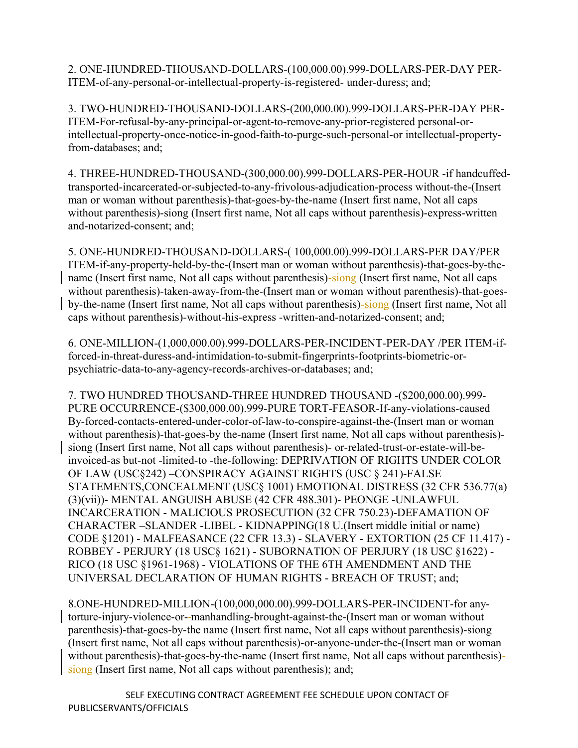2. ONE-HUNDRED-THOUSAND-DOLLARS-(100,000.00).999-DOLLARS-PER-DAY PER-ITEM-of-any-personal-or-intellectual-property-is-registered- under-duress; and;

3. TWO-HUNDRED-THOUSAND-DOLLARS-(200,000.00).999-DOLLARS-PER-DAY PER-ITEM-For-refusal-by-any-principal-or-agent-to-remove-any-prior-registered personal-orintellectual-property-once-notice-in-good-faith-to-purge-such-personal-or intellectual-propertyfrom-databases; and;

4. THREE-HUNDRED-THOUSAND-(300,000.00).999-DOLLARS-PER-HOUR -if handcuffedtransported-incarcerated-or-subjected-to-any-frivolous-adjudication-process without-the-(Insert man or woman without parenthesis)-that-goes-by-the-name (Insert first name, Not all caps without parenthesis)-siong (Insert first name, Not all caps without parenthesis)-express-written and-notarized-consent; and;

5. ONE-HUNDRED-THOUSAND-DOLLARS-( 100,000.00).999-DOLLARS-PER DAY/PER ITEM-if-any-property-held-by-the-(Insert man or woman without parenthesis)-that-goes-by-thename (Insert first name, Not all caps without parenthesis)-siong (Insert first name, Not all caps without parenthesis)-taken-away-from-the-(Insert man or woman without parenthesis)-that-goesby-the-name (Insert first name, Not all caps without parenthesis)-siong (Insert first name, Not all caps without parenthesis)-without-his-express -written-and-notarized-consent; and;

6. ONE-MILLION-(1,000,000.00).999-DOLLARS-PER-INCIDENT-PER-DAY /PER ITEM-ifforced-in-threat-duress-and-intimidation-to-submit-fingerprints-footprints-biometric-orpsychiatric-data-to-any-agency-records-archives-or-databases; and;

7. TWO HUNDRED THOUSAND-THREE HUNDRED THOUSAND -(\$200,000.00).999- PURE OCCURRENCE-(\$300,000.00).999-PURE TORT-FEASOR-If-any-violations-caused By-forced-contacts-entered-under-color-of-law-to-conspire-against-the-(Insert man or woman without parenthesis)-that-goes-by the-name (Insert first name, Not all caps without parenthesis) siong (Insert first name, Not all caps without parenthesis)- or-related-trust-or-estate-will-beinvoiced-as but-not -limited-to -the-following: DEPRIVATION OF RIGHTS UNDER COLOR OF LAW (USC§242) –CONSPIRACY AGAINST RIGHTS (USC § 241)-FALSE STATEMENTS,CONCEALMENT (USC§ 1001) EMOTIONAL DISTRESS (32 CFR 536.77(a) (3)(vii))- MENTAL ANGUISH ABUSE (42 CFR 488.301)- PEONGE -UNLAWFUL INCARCERATION - MALICIOUS PROSECUTION (32 CFR 750.23)-DEFAMATION OF CHARACTER –SLANDER -LIBEL - KIDNAPPING(18 U.(Insert middle initial or name) CODE §1201) - MALFEASANCE (22 CFR 13.3) - SLAVERY - EXTORTION (25 CF 11.417) - ROBBEY - PERJURY (18 USC§ 1621) - SUBORNATION OF PERJURY (18 USC §1622) - RICO (18 USC §1961-1968) - VIOLATIONS OF THE 6TH AMENDMENT AND THE UNIVERSAL DECLARATION OF HUMAN RIGHTS - BREACH OF TRUST; and;

8.ONE-HUNDRED-MILLION-(100,000,000.00).999-DOLLARS-PER-INCIDENT-for anytorture-injury-violence-or- manhandling-brought-against-the-(Insert man or woman without parenthesis)-that-goes-by-the name (Insert first name, Not all caps without parenthesis)-siong (Insert first name, Not all caps without parenthesis)-or-anyone-under-the-(Insert man or woman without parenthesis)-that-goes-by-the-name (Insert first name, Not all caps without parenthesis)siong (Insert first name, Not all caps without parenthesis); and;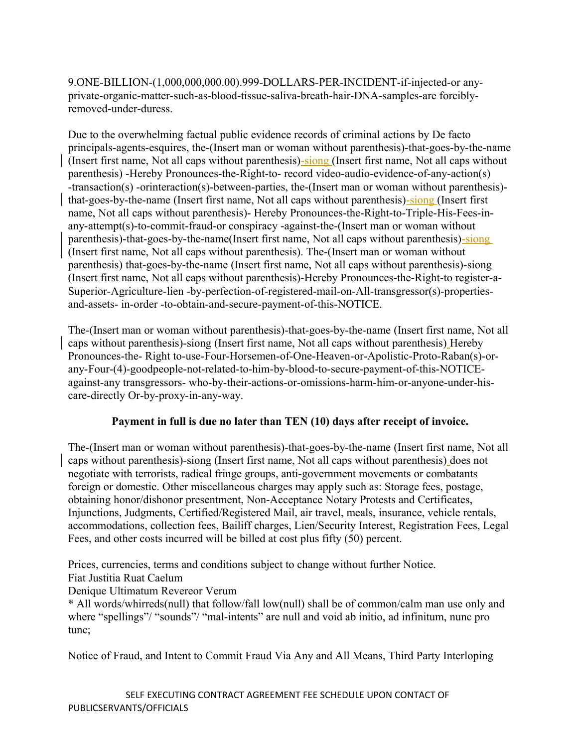9.ONE-BILLION-(1,000,000,000.00).999-DOLLARS-PER-INCIDENT-if-injected-or anyprivate-organic-matter-such-as-blood-tissue-saliva-breath-hair-DNA-samples-are forciblyremoved-under-duress.

Due to the overwhelming factual public evidence records of criminal actions by De facto principals-agents-esquires, the-(Insert man or woman without parenthesis)-that-goes-by-the-name (Insert first name, Not all caps without parenthesis)-siong (Insert first name, Not all caps without parenthesis) -Hereby Pronounces-the-Right-to- record video-audio-evidence-of-any-action(s) -transaction(s) -orinteraction(s)-between-parties, the-(Insert man or woman without parenthesis) that-goes-by-the-name (Insert first name, Not all caps without parenthesis)-siong (Insert first name, Not all caps without parenthesis)- Hereby Pronounces-the-Right-to-Triple-His-Fees-inany-attempt(s)-to-commit-fraud-or conspiracy -against-the-(Insert man or woman without parenthesis)-that-goes-by-the-name(Insert first name, Not all caps without parenthesis)-siong (Insert first name, Not all caps without parenthesis). The-(Insert man or woman without parenthesis) that-goes-by-the-name (Insert first name, Not all caps without parenthesis)-siong (Insert first name, Not all caps without parenthesis)-Hereby Pronounces-the-Right-to register-a-Superior-Agriculture-lien -by-perfection-of-registered-mail-on-All-transgressor(s)-propertiesand-assets- in-order -to-obtain-and-secure-payment-of-this-NOTICE.

The-(Insert man or woman without parenthesis)-that-goes-by-the-name (Insert first name, Not all caps without parenthesis)-siong (Insert first name, Not all caps without parenthesis) Hereby Pronounces-the- Right to-use-Four-Horsemen-of-One-Heaven-or-Apolistic-Proto-Raban(s)-orany-Four-(4)-goodpeople-not-related-to-him-by-blood-to-secure-payment-of-this-NOTICEagainst-any transgressors- who-by-their-actions-or-omissions-harm-him-or-anyone-under-hiscare-directly Or-by-proxy-in-any-way.

# **Payment in full is due no later than TEN (10) days after receipt of invoice.**

The-(Insert man or woman without parenthesis)-that-goes-by-the-name (Insert first name, Not all caps without parenthesis)-siong (Insert first name, Not all caps without parenthesis) does not negotiate with terrorists, radical fringe groups, anti-government movements or combatants foreign or domestic. Other miscellaneous charges may apply such as: Storage fees, postage, obtaining honor/dishonor presentment, Non-Acceptance Notary Protests and Certificates, Injunctions, Judgments, Certified/Registered Mail, air travel, meals, insurance, vehicle rentals, accommodations, collection fees, Bailiff charges, Lien/Security Interest, Registration Fees, Legal Fees, and other costs incurred will be billed at cost plus fifty (50) percent.

Prices, currencies, terms and conditions subject to change without further Notice.

Fiat Justitia Ruat Caelum

Denique Ultimatum Revereor Verum

\* All words/whirreds(null) that follow/fall low(null) shall be of common/calm man use only and where "spellings"/ "sounds"/ "mal-intents" are null and void ab initio, ad infinitum, nunc pro tunc;

Notice of Fraud, and Intent to Commit Fraud Via Any and All Means, Third Party Interloping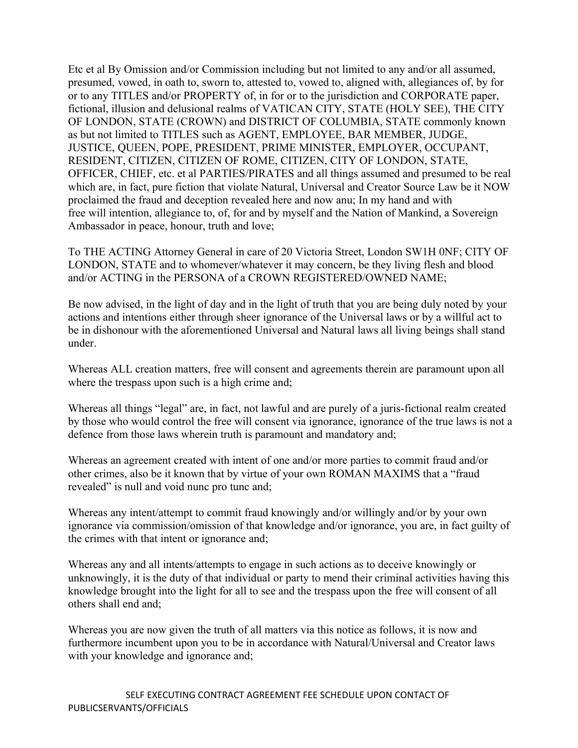Etc et al By Omission and/or Commission including but not limited to any and/or all assumed, presumed, vowed, in oath to, sworn to, attested to, vowed to, aligned with, allegiances of, by for or to any TITLES and/or PROPERTY of, in for or to the jurisdiction and CORPORATE paper, fictional, illusion and delusional realms of VATICAN CITY, STATE (HOLY SEE), THE CITY OF LONDON, STATE (CROWN) and DISTRICT OF COLUMBIA, STATE commonly known as but not limited to TITLES such as AGENT, EMPLOYEE, BAR MEMBER, JUDGE, JUSTICE, QUEEN, POPE, PRESIDENT, PRIME MINISTER, EMPLOYER, OCCUPANT, RESIDENT, CITIZEN, CITIZEN OF ROME, CITIZEN, CITY OF LONDON, STATE, OFFICER, CHIEF, etc. et al PARTIES/PIRATES and all things assumed and presumed to be real which are, in fact, pure fiction that violate Natural, Universal and Creator Source Law be it NOW proclaimed the fraud and deception revealed here and now anu; In my hand and with free will intention, allegiance to, of, for and by myself and the Nation of Mankind, a Sovereign Ambassador in peace, honour, truth and love;

To THE ACTING Attorney General in care of 20 Victoria Street, London SW1H 0NF; CITY OF LONDON, STATE and to whomever/whatever it may concern, be they living flesh and blood and/or ACTING in the PERSONA of a CROWN REGISTERED/OWNED NAME;

Be now advised, in the light of day and in the light of truth that you are being duly noted by your actions and intentions either through sheer ignorance of the Universal laws or by a willful act to be in dishonour with the aforementioned Universal and Natural laws all living beings shall stand under.

Whereas ALL creation matters, free will consent and agreements therein are paramount upon all where the trespass upon such is a high crime and;

Whereas all things "legal" are, in fact, not lawful and are purely of a juris-fictional realm created by those who would control the free will consent via ignorance, ignorance of the true laws is not a defence from those laws wherein truth is paramount and mandatory and;

Whereas an agreement created with intent of one and/or more parties to commit fraud and/or other crimes, also be it known that by virtue of your own ROMAN MAXIMS that a "fraud revealed" is null and void nunc pro tunc and;

Whereas any intent/attempt to commit fraud knowingly and/or willingly and/or by your own ignorance via commission/omission of that knowledge and/or ignorance, you are, in fact guilty of the crimes with that intent or ignorance and;

Whereas any and all intents/attempts to engage in such actions as to deceive knowingly or unknowingly, it is the duty of that individual or party to mend their criminal activities having this knowledge brought into the light for all to see and the trespass upon the free will consent of all others shall end and;

Whereas you are now given the truth of all matters via this notice as follows, it is now and furthermore incumbent upon you to be in accordance with Natural/Universal and Creator laws with your knowledge and ignorance and;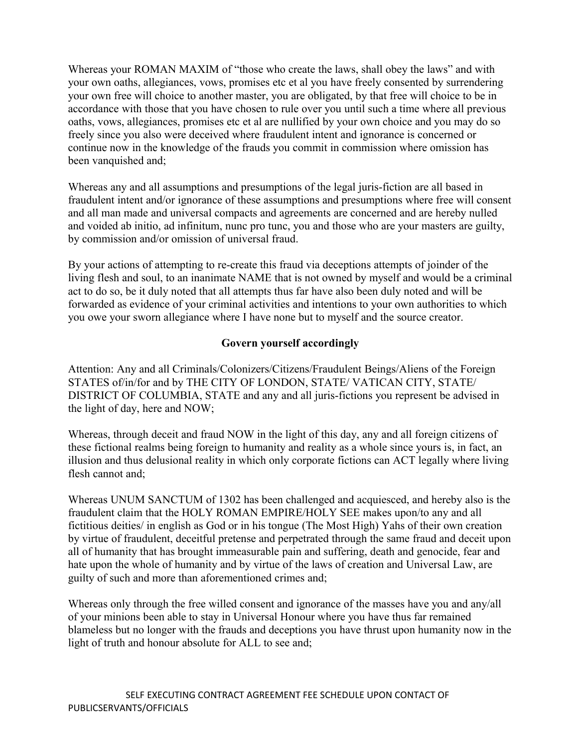Whereas your ROMAN MAXIM of "those who create the laws, shall obey the laws" and with your own oaths, allegiances, vows, promises etc et al you have freely consented by surrendering your own free will choice to another master, you are obligated, by that free will choice to be in accordance with those that you have chosen to rule over you until such a time where all previous oaths, vows, allegiances, promises etc et al are nullified by your own choice and you may do so freely since you also were deceived where fraudulent intent and ignorance is concerned or continue now in the knowledge of the frauds you commit in commission where omission has been vanquished and;

Whereas any and all assumptions and presumptions of the legal juris-fiction are all based in fraudulent intent and/or ignorance of these assumptions and presumptions where free will consent and all man made and universal compacts and agreements are concerned and are hereby nulled and voided ab initio, ad infinitum, nunc pro tunc, you and those who are your masters are guilty, by commission and/or omission of universal fraud.

By your actions of attempting to re-create this fraud via deceptions attempts of joinder of the living flesh and soul, to an inanimate NAME that is not owned by myself and would be a criminal act to do so, be it duly noted that all attempts thus far have also been duly noted and will be forwarded as evidence of your criminal activities and intentions to your own authorities to which you owe your sworn allegiance where I have none but to myself and the source creator.

### **Govern yourself accordingly**

Attention: Any and all Criminals/Colonizers/Citizens/Fraudulent Beings/Aliens of the Foreign STATES of/in/for and by THE CITY OF LONDON, STATE/ VATICAN CITY, STATE/ DISTRICT OF COLUMBIA, STATE and any and all juris-fictions you represent be advised in the light of day, here and NOW;

Whereas, through deceit and fraud NOW in the light of this day, any and all foreign citizens of these fictional realms being foreign to humanity and reality as a whole since yours is, in fact, an illusion and thus delusional reality in which only corporate fictions can ACT legally where living flesh cannot and;

Whereas UNUM SANCTUM of 1302 has been challenged and acquiesced, and hereby also is the fraudulent claim that the HOLY ROMAN EMPIRE/HOLY SEE makes upon/to any and all fictitious deities/ in english as God or in his tongue (The Most High) Yahs of their own creation by virtue of fraudulent, deceitful pretense and perpetrated through the same fraud and deceit upon all of humanity that has brought immeasurable pain and suffering, death and genocide, fear and hate upon the whole of humanity and by virtue of the laws of creation and Universal Law, are guilty of such and more than aforementioned crimes and;

Whereas only through the free willed consent and ignorance of the masses have you and any/all of your minions been able to stay in Universal Honour where you have thus far remained blameless but no longer with the frauds and deceptions you have thrust upon humanity now in the light of truth and honour absolute for ALL to see and;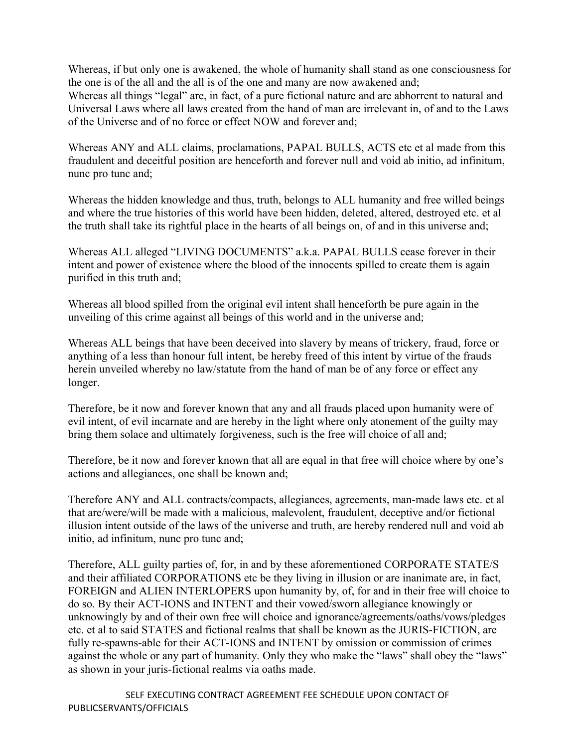Whereas, if but only one is awakened, the whole of humanity shall stand as one consciousness for the one is of the all and the all is of the one and many are now awakened and; Whereas all things "legal" are, in fact, of a pure fictional nature and are abhorrent to natural and Universal Laws where all laws created from the hand of man are irrelevant in, of and to the Laws of the Universe and of no force or effect NOW and forever and;

Whereas ANY and ALL claims, proclamations, PAPAL BULLS, ACTS etc et al made from this fraudulent and deceitful position are henceforth and forever null and void ab initio, ad infinitum, nunc pro tunc and;

Whereas the hidden knowledge and thus, truth, belongs to ALL humanity and free willed beings and where the true histories of this world have been hidden, deleted, altered, destroyed etc. et al the truth shall take its rightful place in the hearts of all beings on, of and in this universe and;

Whereas ALL alleged "LIVING DOCUMENTS" a.k.a. PAPAL BULLS cease forever in their intent and power of existence where the blood of the innocents spilled to create them is again purified in this truth and;

Whereas all blood spilled from the original evil intent shall henceforth be pure again in the unveiling of this crime against all beings of this world and in the universe and;

Whereas ALL beings that have been deceived into slavery by means of trickery, fraud, force or anything of a less than honour full intent, be hereby freed of this intent by virtue of the frauds herein unveiled whereby no law/statute from the hand of man be of any force or effect any longer.

Therefore, be it now and forever known that any and all frauds placed upon humanity were of evil intent, of evil incarnate and are hereby in the light where only atonement of the guilty may bring them solace and ultimately forgiveness, such is the free will choice of all and;

Therefore, be it now and forever known that all are equal in that free will choice where by one's actions and allegiances, one shall be known and;

Therefore ANY and ALL contracts/compacts, allegiances, agreements, man-made laws etc. et al that are/were/will be made with a malicious, malevolent, fraudulent, deceptive and/or fictional illusion intent outside of the laws of the universe and truth, are hereby rendered null and void ab initio, ad infinitum, nunc pro tunc and;

Therefore, ALL guilty parties of, for, in and by these aforementioned CORPORATE STATE/S and their affiliated CORPORATIONS etc be they living in illusion or are inanimate are, in fact, FOREIGN and ALIEN INTERLOPERS upon humanity by, of, for and in their free will choice to do so. By their ACT-IONS and INTENT and their vowed/sworn allegiance knowingly or unknowingly by and of their own free will choice and ignorance/agreements/oaths/vows/pledges etc. et al to said STATES and fictional realms that shall be known as the JURIS-FICTION, are fully re-spawns-able for their ACT-IONS and INTENT by omission or commission of crimes against the whole or any part of humanity. Only they who make the "laws" shall obey the "laws" as shown in your juris-fictional realms via oaths made.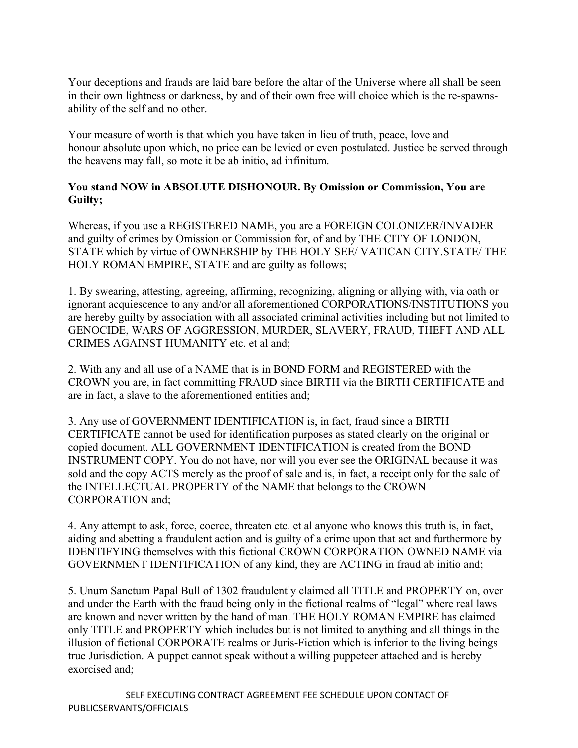Your deceptions and frauds are laid bare before the altar of the Universe where all shall be seen in their own lightness or darkness, by and of their own free will choice which is the re-spawnsability of the self and no other.

Your measure of worth is that which you have taken in lieu of truth, peace, love and honour absolute upon which, no price can be levied or even postulated. Justice be served through the heavens may fall, so mote it be ab initio, ad infinitum.

## **You stand NOW in ABSOLUTE DISHONOUR. By Omission or Commission, You are Guilty;**

Whereas, if you use a REGISTERED NAME, you are a FOREIGN COLONIZER/INVADER and guilty of crimes by Omission or Commission for, of and by THE CITY OF LONDON, STATE which by virtue of OWNERSHIP by THE HOLY SEE/ VATICAN CITY.STATE/ THE HOLY ROMAN EMPIRE, STATE and are guilty as follows;

1. By swearing, attesting, agreeing, affirming, recognizing, aligning or allying with, via oath or ignorant acquiescence to any and/or all aforementioned CORPORATIONS/INSTITUTIONS you are hereby guilty by association with all associated criminal activities including but not limited to GENOCIDE, WARS OF AGGRESSION, MURDER, SLAVERY, FRAUD, THEFT AND ALL CRIMES AGAINST HUMANITY etc. et al and;

2. With any and all use of a NAME that is in BOND FORM and REGISTERED with the CROWN you are, in fact committing FRAUD since BIRTH via the BIRTH CERTIFICATE and are in fact, a slave to the aforementioned entities and;

3. Any use of GOVERNMENT IDENTIFICATION is, in fact, fraud since a BIRTH CERTIFICATE cannot be used for identification purposes as stated clearly on the original or copied document. ALL GOVERNMENT IDENTIFICATION is created from the BOND INSTRUMENT COPY. You do not have, nor will you ever see the ORIGINAL because it was sold and the copy ACTS merely as the proof of sale and is, in fact, a receipt only for the sale of the INTELLECTUAL PROPERTY of the NAME that belongs to the CROWN CORPORATION and;

4. Any attempt to ask, force, coerce, threaten etc. et al anyone who knows this truth is, in fact, aiding and abetting a fraudulent action and is guilty of a crime upon that act and furthermore by IDENTIFYING themselves with this fictional CROWN CORPORATION OWNED NAME via GOVERNMENT IDENTIFICATION of any kind, they are ACTING in fraud ab initio and;

5. Unum Sanctum Papal Bull of 1302 fraudulently claimed all TITLE and PROPERTY on, over and under the Earth with the fraud being only in the fictional realms of "legal" where real laws are known and never written by the hand of man. THE HOLY ROMAN EMPIRE has claimed only TITLE and PROPERTY which includes but is not limited to anything and all things in the illusion of fictional CORPORATE realms or Juris-Fiction which is inferior to the living beings true Jurisdiction. A puppet cannot speak without a willing puppeteer attached and is hereby exorcised and;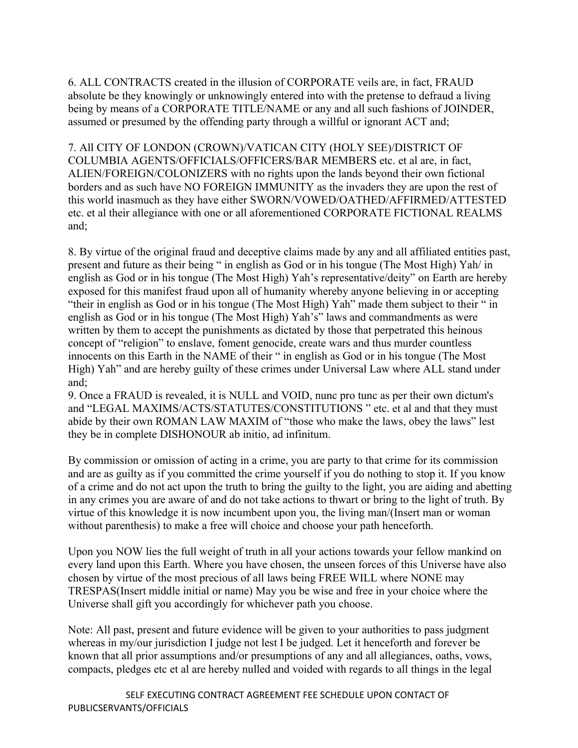6. ALL CONTRACTS created in the illusion of CORPORATE veils are, in fact, FRAUD absolute be they knowingly or unknowingly entered into with the pretense to defraud a living being by means of a CORPORATE TITLE/NAME or any and all such fashions of JOINDER, assumed or presumed by the offending party through a willful or ignorant ACT and;

7. All CITY OF LONDON (CROWN)/VATICAN CITY (HOLY SEE)/DISTRICT OF COLUMBIA AGENTS/OFFICIALS/OFFICERS/BAR MEMBERS etc. et al are, in fact, ALIEN/FOREIGN/COLONIZERS with no rights upon the lands beyond their own fictional borders and as such have NO FOREIGN IMMUNITY as the invaders they are upon the rest of this world inasmuch as they have either SWORN/VOWED/OATHED/AFFIRMED/ATTESTED etc. et al their allegiance with one or all aforementioned CORPORATE FICTIONAL REALMS and;

8. By virtue of the original fraud and deceptive claims made by any and all affiliated entities past, present and future as their being " in english as God or in his tongue (The Most High) Yah/ in english as God or in his tongue (The Most High) Yah's representative/deity" on Earth are hereby exposed for this manifest fraud upon all of humanity whereby anyone believing in or accepting "their in english as God or in his tongue (The Most High) Yah" made them subject to their " in english as God or in his tongue (The Most High) Yah's" laws and commandments as were written by them to accept the punishments as dictated by those that perpetrated this heinous concept of "religion" to enslave, foment genocide, create wars and thus murder countless innocents on this Earth in the NAME of their " in english as God or in his tongue (The Most High) Yah" and are hereby guilty of these crimes under Universal Law where ALL stand under and;

9. Once a FRAUD is revealed, it is NULL and VOID, nunc pro tunc as per their own dictum's and "LEGAL MAXIMS/ACTS/STATUTES/CONSTITUTIONS " etc. et al and that they must abide by their own ROMAN LAW MAXIM of "those who make the laws, obey the laws" lest they be in complete DISHONOUR ab initio, ad infinitum.

By commission or omission of acting in a crime, you are party to that crime for its commission and are as guilty as if you committed the crime yourself if you do nothing to stop it. If you know of a crime and do not act upon the truth to bring the guilty to the light, you are aiding and abetting in any crimes you are aware of and do not take actions to thwart or bring to the light of truth. By virtue of this knowledge it is now incumbent upon you, the living man/(Insert man or woman without parenthesis) to make a free will choice and choose your path henceforth.

Upon you NOW lies the full weight of truth in all your actions towards your fellow mankind on every land upon this Earth. Where you have chosen, the unseen forces of this Universe have also chosen by virtue of the most precious of all laws being FREE WILL where NONE may TRESPAS(Insert middle initial or name) May you be wise and free in your choice where the Universe shall gift you accordingly for whichever path you choose.

Note: All past, present and future evidence will be given to your authorities to pass judgment whereas in my/our jurisdiction I judge not lest I be judged. Let it henceforth and forever be known that all prior assumptions and/or presumptions of any and all allegiances, oaths, vows, compacts, pledges etc et al are hereby nulled and voided with regards to all things in the legal